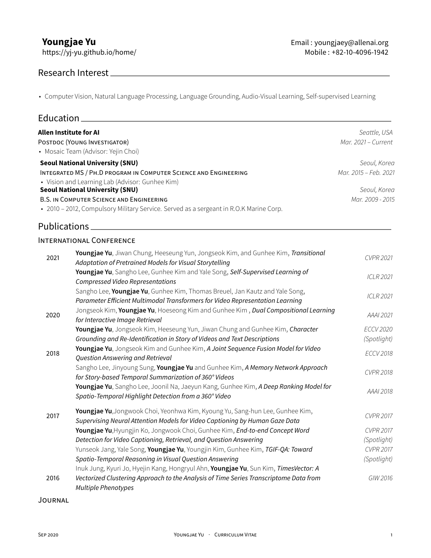https://yj-yu.github.io/home/

### Research Interest

• Computer Vision, Natural Language Processing, Language Grounding, Audio-Visual Learning, Self-supervised Learning

| Education.                             |                                                                                                                                                               |                       |
|----------------------------------------|---------------------------------------------------------------------------------------------------------------------------------------------------------------|-----------------------|
|                                        | <b>Allen Institute for AI</b>                                                                                                                                 | Seattle, USA          |
| POSTDOC (YOUNG INVESTIGATOR)           |                                                                                                                                                               | Mar. 2021 - Current   |
|                                        | • Mosaic Team (Advisor: Yejin Choi)                                                                                                                           |                       |
| <b>Seoul National University (SNU)</b> |                                                                                                                                                               | Seoul, Korea          |
|                                        | INTEGRATED MS / PH.D PROGRAM IN COMPUTER SCIENCE AND ENGINEERING                                                                                              | Mar. 2015 - Feb. 2021 |
|                                        | • Vision and Learning Lab (Advisor: Gunhee Kim)                                                                                                               |                       |
|                                        | <b>Seoul National University (SNU)</b>                                                                                                                        |                       |
|                                        | <b>B.S. IN COMPUTER SCIENCE AND ENGINEERING</b>                                                                                                               | Mar. 2009 - 2015      |
|                                        | • 2010 - 2012, Compulsory Military Service. Served as a sergeant in R.O.K Marine Corp.                                                                        |                       |
| Publications.                          |                                                                                                                                                               |                       |
|                                        | <b>INTERNATIONAL CONFERENCE</b>                                                                                                                               |                       |
| 2021                                   | Youngjae Yu, Jiwan Chung, Heeseung Yun, Jongseok Kim, and Gunhee Kim, Transitional<br>Adaptation of Pretrained Models for Visual Storytelling                 | <b>CVPR 2021</b>      |
|                                        | Youngjae Yu, Sangho Lee, Gunhee Kim and Yale Song, Self-Supervised Learning of<br><b>Compressed Video Representations</b>                                     | $ICIR$ 2021           |
|                                        | Sangho Lee, Youngjae Yu, Gunhee Kim, Thomas Breuel, Jan Kautz and Yale Song,<br>Parameter Efficient Multimodal Transformers for Video Representation Learning | <b>ICLR 2021</b>      |
| 2020                                   | Jongseok Kim, Youngjae Yu, Hoeseong Kim and Gunhee Kim, Dual Compositional Learning<br>for Interactive Image Retrieval                                        | AAAI 2021             |
|                                        | Youngjae Yu, Jongseok Kim, Heeseung Yun, Jiwan Chung and Gunhee Kim, Character                                                                                | <b>ECCV 2020</b>      |
|                                        | Grounding and Re-Identification in Story of Videos and Text Descriptions                                                                                      | (Spotlight)           |
| 2018                                   | Youngjae Yu, Jongseok Kim and Gunhee Kim, A Joint Sequence Fusion Model for Video<br>Question Answering and Retrieval                                         | <b>ECCV 2018</b>      |
|                                        | Sangho Lee, Jinyoung Sung, Youngjae Yu and Gunhee Kim, A Memory Network Approach<br>for Story-based Temporal Summarization of 360° Videos                     | <b>CVPR 2018</b>      |
|                                        | Youngjae Yu, Sangho Lee, Joonil Na, Jaeyun Kang, Gunhee Kim, A Deep Ranking Model for<br>Spatio-Temporal Highlight Detection from a 360° Video                | AAAI 2018             |
| 2017                                   | Youngjae Yu, Jongwook Choi, Yeonhwa Kim, Kyoung Yu, Sang-hun Lee, Gunhee Kim,<br>Supervising Neural Attention Models for Video Captioning by Human Gaze Data  | <b>CVPR 2017</b>      |
|                                        | Youngjae Yu, Hyungjin Ko, Jongwook Choi, Gunhee Kim, End-to-end Concept Word                                                                                  | <b>CVPR 2017</b>      |
|                                        | Detection for Video Captioning, Retrieval, and Question Answering                                                                                             | (Spotlight)           |
|                                        | Yunseok Jang, Yale Song, Youngjae Yu, Youngjin Kim, Gunhee Kim, TGIF-QA: Toward                                                                               | <b>CVPR 2017</b>      |
|                                        | Spatio-Temporal Reasoning in Visual Question Answering                                                                                                        | (Spotlight)           |
|                                        | Inuk Jung, Kyuri Jo, Hyejin Kang, Hongryul Ahn, Youngjae Yu, Sun Kim, TimesVector: A                                                                          |                       |
| 2016                                   | Vectorized Clustering Approach to the Analysis of Time Series Transcriptome Data from<br>Multiple Phenotypes                                                  | GIW 2016              |

JOURNAL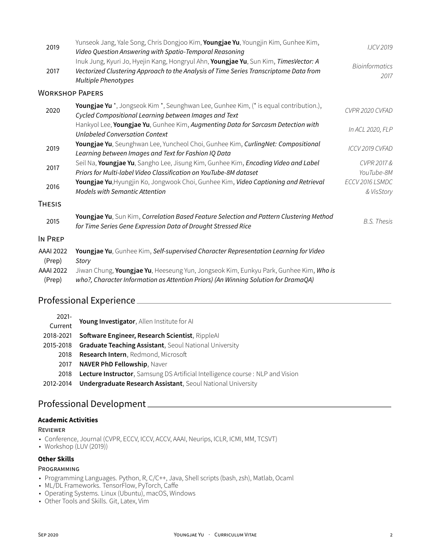| 2019                       | Yunseok Jang, Yale Song, Chris Dongjoo Kim, Youngjae Yu, Youngjin Kim, Gunhee Kim,<br>Video Question Answering with Spatio-Temporal Reasoning                                                        | <b>IJCV 2019</b>              |
|----------------------------|------------------------------------------------------------------------------------------------------------------------------------------------------------------------------------------------------|-------------------------------|
| 2017                       | Inuk Jung, Kyuri Jo, Hyejin Kang, Hongryul Ahn, Youngjae Yu, Sun Kim, TimesVector: A<br>Vectorized Clustering Approach to the Analysis of Time Series Transcriptome Data from<br>Multiple Phenotypes | <b>Bioinformatics</b><br>2017 |
| <b>WORKSHOP PAPERS</b>     |                                                                                                                                                                                                      |                               |
| 2020                       | Youngjae Yu *, Jongseok Kim *, Seunghwan Lee, Gunhee Kim, (* is equal contribution.),<br>Cycled Compositional Learning between Images and Text                                                       | CVPR 2020 CVFAD               |
|                            | Hankyol Lee, Youngjae Yu, Gunhee Kim, Augmenting Data for Sarcasm Detection with<br><b>Unlabeled Conversation Context</b>                                                                            | In ACL 2020, FLP              |
| 2019                       | Youngjae Yu, Seunghwan Lee, Yuncheol Choi, Gunhee Kim, CurlingNet: Compositional<br>Learning between Images and Text for Fashion IQ Data                                                             | ICCV 2019 CVFAD               |
| 2017                       | Seil Na, Youngjae Yu, Sangho Lee, Jisung Kim, Gunhee Kim, Encoding Video and Label<br>Priors for Multi-label Video Classification on YouTube-8M dataset                                              | CVPR 2017 &<br>YouTube-8M     |
| 2016                       | Youngjae Yu, Hyungjin Ko, Jongwook Choi, Gunhee Kim, Video Captioning and Retrieval<br><b>Models with Semantic Attention</b>                                                                         | ECCV 2016 LSMDC<br>& VisStory |
| Thesis                     |                                                                                                                                                                                                      |                               |
| 2015                       | Youngjae Yu, Sun Kim, Correlation Based Feature Selection and Pattern Clustering Method<br>for Time Series Gene Expression Data of Drought Stressed Rice                                             | <b>B.S. Thesis</b>            |
| IN PREP                    |                                                                                                                                                                                                      |                               |
| <b>AAAI 2022</b><br>(Prep) | Youngjae Yu, Gunhee Kim, Self-supervised Character Representation Learning for Video<br>Story                                                                                                        |                               |
| <b>AAAI 2022</b><br>(Prep) | Jiwan Chung, Youngjae Yu, Heeseung Yun, Jongseok Kim, Eunkyu Park, Gunhee Kim, Who is<br>who?, Character Information as Attention Priors) (An Winning Solution for DramaQA)                          |                               |

# Professional Experience

| $2021 -$  | Young Investigator, Allen Institute for All                                          |
|-----------|--------------------------------------------------------------------------------------|
| Current   |                                                                                      |
| 2018-2021 | Software Engineer, Research Scientist, RippleAI                                      |
| 2015-2018 | <b>Graduate Teaching Assistant, Seoul National University</b>                        |
| 2018      | <b>Research Intern, Redmond, Microsoft</b>                                           |
| 2017      | <b>NAVER PhD Fellowship, Naver</b>                                                   |
| 2018      | <b>Lecture Instructor,</b> Samsung DS Artificial Intelligence course: NLP and Vision |
| 2012-2014 | <b>Undergraduate Research Assistant, Seoul National University</b>                   |

## Professional Development

### **Academic Activities**

### REVIEWER

- Conference, Journal (CVPR, ECCV, ICCV, ACCV, AAAI, Neurips, ICLR, ICMI, MM, TCSVT)
- Workshop (LUV (2019))

### **Other Skills**

### PROGRAMMING

- Programming Languages. Python, R, C/C++, Java, Shell scripts (bash, zsh), Matlab, Ocaml
- ML/DL Frameworks. TensorFlow, PyTorch, Caffe
- Operating Systems. Linux (Ubuntu), macOS, Windows
- Other Tools and Skills. Git, Latex, Vim